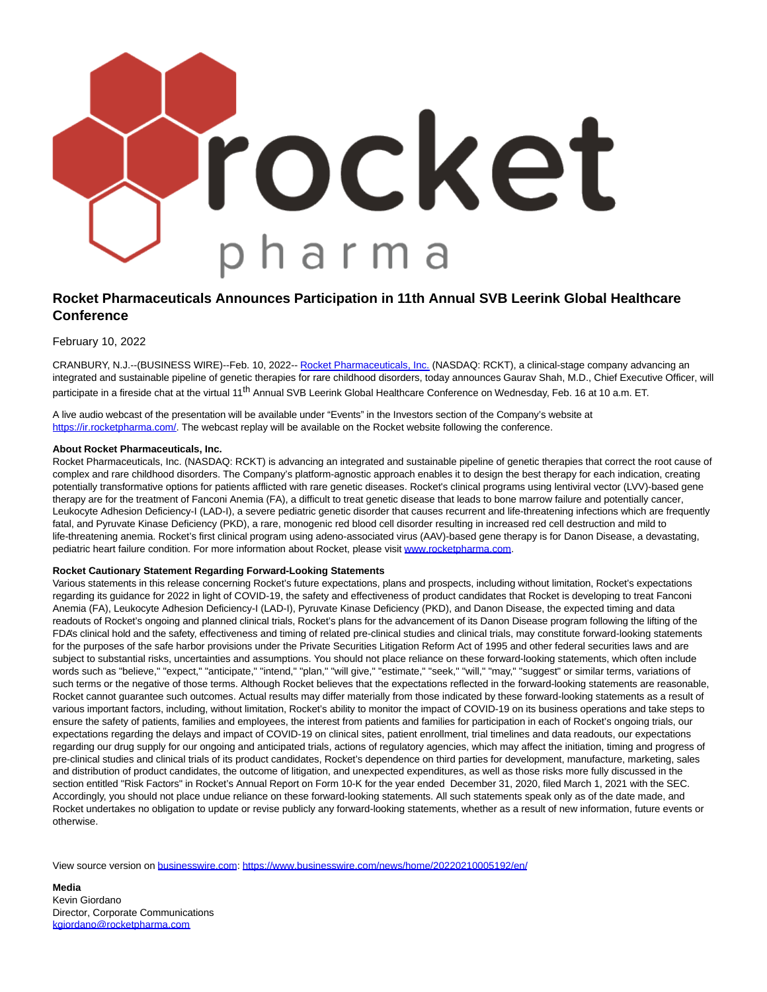

## **Rocket Pharmaceuticals Announces Participation in 11th Annual SVB Leerink Global Healthcare Conference**

February 10, 2022

CRANBURY, N.J.--(BUSINESS WIRE)--Feb. 10, 2022-- [Rocket Pharmaceuticals, Inc. \(](https://cts.businesswire.com/ct/CT?id=smartlink&url=https%3A%2F%2Frocketpharma.com%2F&esheet=52577055&newsitemid=20220210005192&lan=en-US&anchor=Rocket+Pharmaceuticals%2C+Inc.&index=1&md5=a3b1f8a5606af8514a6b57926b706621)NASDAQ: RCKT), a clinical-stage company advancing an integrated and sustainable pipeline of genetic therapies for rare childhood disorders, today announces Gaurav Shah, M.D., Chief Executive Officer, will participate in a fireside chat at the virtual 11<sup>th</sup> Annual SVB Leerink Global Healthcare Conference on Wednesday, Feb. 16 at 10 a.m. ET.

A live audio webcast of the presentation will be available under "Events" in the Investors section of the Company's website at [https://ir.rocketpharma.com/.](https://cts.businesswire.com/ct/CT?id=smartlink&url=https%3A%2F%2Fir.rocketpharma.com%2F&esheet=52577055&newsitemid=20220210005192&lan=en-US&anchor=https%3A%2F%2Fir.rocketpharma.com%2F&index=2&md5=15c9c27aff3d896589b0d4ea21700f22) The webcast replay will be available on the Rocket website following the conference.

## **About Rocket Pharmaceuticals, Inc.**

Rocket Pharmaceuticals, Inc. (NASDAQ: RCKT) is advancing an integrated and sustainable pipeline of genetic therapies that correct the root cause of complex and rare childhood disorders. The Company's platform-agnostic approach enables it to design the best therapy for each indication, creating potentially transformative options for patients afflicted with rare genetic diseases. Rocket's clinical programs using lentiviral vector (LVV)-based gene therapy are for the treatment of Fanconi Anemia (FA), a difficult to treat genetic disease that leads to bone marrow failure and potentially cancer, Leukocyte Adhesion Deficiency-I (LAD-I), a severe pediatric genetic disorder that causes recurrent and life-threatening infections which are frequently fatal, and Pyruvate Kinase Deficiency (PKD), a rare, monogenic red blood cell disorder resulting in increased red cell destruction and mild to life-threatening anemia. Rocket's first clinical program using adeno-associated virus (AAV)-based gene therapy is for Danon Disease, a devastating, pediatric heart failure condition. For more information about Rocket, please visit [www.rocketpharma.com.](https://cts.businesswire.com/ct/CT?id=smartlink&url=http%3A%2F%2Fwww.rocketpharma.com&esheet=52577055&newsitemid=20220210005192&lan=en-US&anchor=www.rocketpharma.com&index=3&md5=9b5196b04be9d175707baea1e27bacfc)

## **Rocket Cautionary Statement Regarding Forward-Looking Statements**

Various statements in this release concerning Rocket's future expectations, plans and prospects, including without limitation, Rocket's expectations regarding its guidance for 2022 in light of COVID-19, the safety and effectiveness of product candidates that Rocket is developing to treat Fanconi Anemia (FA), Leukocyte Adhesion Deficiency-I (LAD-I), Pyruvate Kinase Deficiency (PKD), and Danon Disease, the expected timing and data readouts of Rocket's ongoing and planned clinical trials, Rocket's plans for the advancement of its Danon Disease program following the lifting of the FDA's clinical hold and the safety, effectiveness and timing of related pre-clinical studies and clinical trials, may constitute forward-looking statements for the purposes of the safe harbor provisions under the Private Securities Litigation Reform Act of 1995 and other federal securities laws and are subject to substantial risks, uncertainties and assumptions. You should not place reliance on these forward-looking statements, which often include words such as "believe," "expect," "anticipate," "intend," "plan," "will give," "estimate," "seek," "will," "may," "suggest" or similar terms, variations of such terms or the negative of those terms. Although Rocket believes that the expectations reflected in the forward-looking statements are reasonable, Rocket cannot guarantee such outcomes. Actual results may differ materially from those indicated by these forward-looking statements as a result of various important factors, including, without limitation, Rocket's ability to monitor the impact of COVID-19 on its business operations and take steps to ensure the safety of patients, families and employees, the interest from patients and families for participation in each of Rocket's ongoing trials, our expectations regarding the delays and impact of COVID-19 on clinical sites, patient enrollment, trial timelines and data readouts, our expectations regarding our drug supply for our ongoing and anticipated trials, actions of regulatory agencies, which may affect the initiation, timing and progress of pre-clinical studies and clinical trials of its product candidates, Rocket's dependence on third parties for development, manufacture, marketing, sales and distribution of product candidates, the outcome of litigation, and unexpected expenditures, as well as those risks more fully discussed in the section entitled "Risk Factors" in Rocket's Annual Report on Form 10-K for the year ended December 31, 2020, filed March 1, 2021 with the SEC. Accordingly, you should not place undue reliance on these forward-looking statements. All such statements speak only as of the date made, and Rocket undertakes no obligation to update or revise publicly any forward-looking statements, whether as a result of new information, future events or otherwise.

View source version on [businesswire.com:](http://businesswire.com/)<https://www.businesswire.com/news/home/20220210005192/en/>

**Media** Kevin Giordano Director, Corporate Communications [kgiordano@rocketpharma.com](mailto:kgiordano@rocketpharma.com)